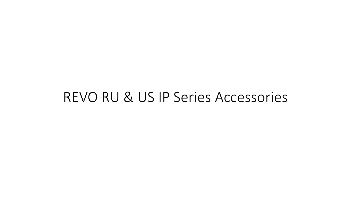#### REVO RU & US IP Series Accessories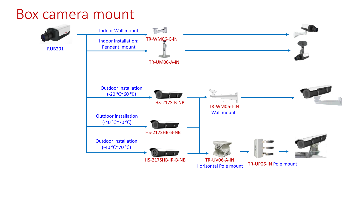## Box camera mount

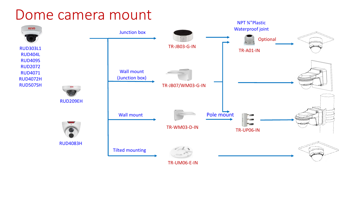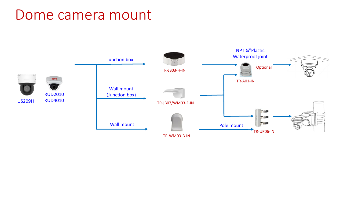#### Dome camera mount

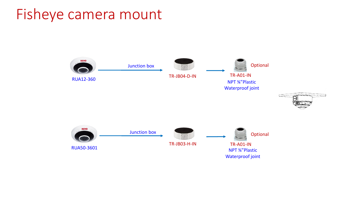### Fisheye camera mount

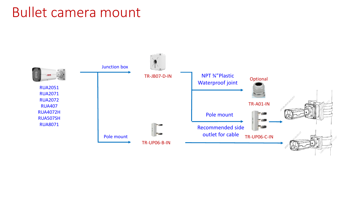#### Bullet camera mount

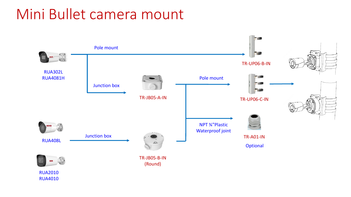## Mini Bullet camera mount



RUA4010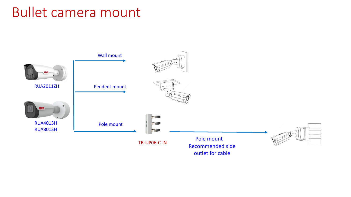#### Bullet camera mount

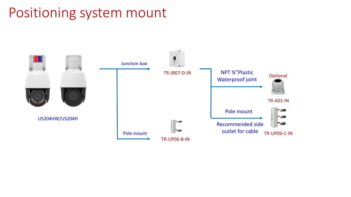## Positioning system mount

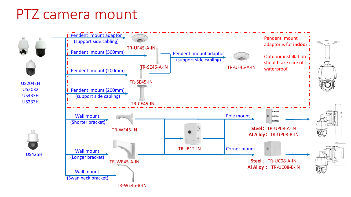## PTZ camera mount



TR-WE45-B-IN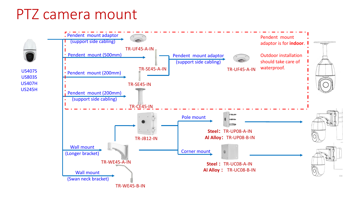## PTZ camera mount

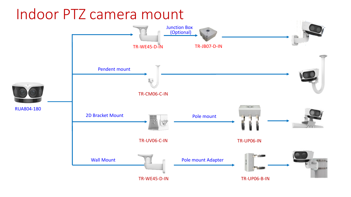# Indoor PTZ camera mount